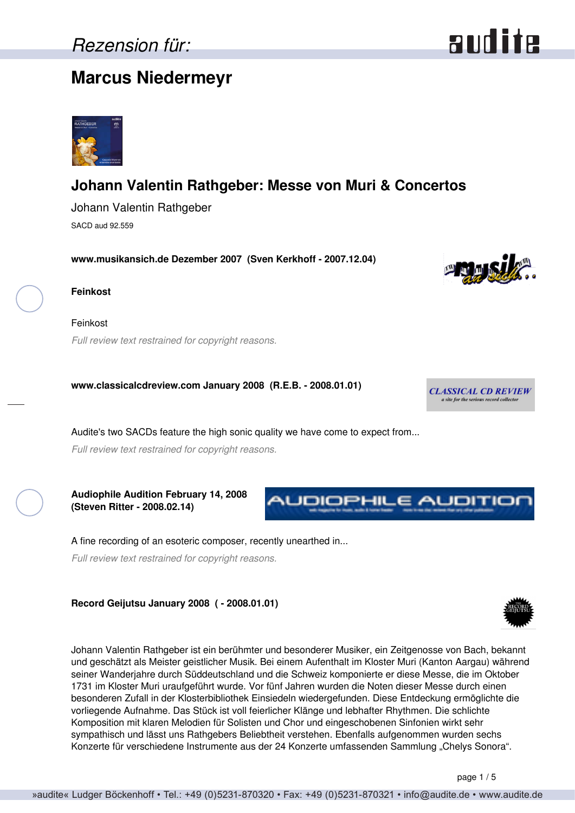## **Marcus Niedermeyr**



### **Johann Valentin Rathgeber: Messe von Muri & Concertos**

Johann Valentin Rathgeber SACD aud 92.559

**www.musikansich.de Dezember 2007 (Sven Kerkhoff - 2007.12.04)**



Feinkost *Full review text restrained for copyright reasons.*

**www.classicalcdreview.com January 2008 (R.E.B. - 2008.01.01)**

Audite's two SACDs feature the high sonic quality we have come to expect from...

*Full review text restrained for copyright reasons.*

**Audiophile Audition February 14, 2008 (Steven Ritter - 2008.02.14)**

A fine recording of an esoteric composer, recently unearthed in...

*Full review text restrained for copyright reasons.*

**Record Geijutsu January 2008 ( - 2008.01.01)**

Johann Valentin Rathgeber ist ein berühmter und besonderer Musiker, ein Zeitgenosse von Bach, bekannt und geschätzt als Meister geistlicher Musik. Bei einem Aufenthalt im Kloster Muri (Kanton Aargau) während seiner Wanderjahre durch Süddeutschland und die Schweiz komponierte er diese Messe, die im Oktober 1731 im Kloster Muri uraufgeführt wurde. Vor fünf Jahren wurden die Noten dieser Messe durch einen besonderen Zufall in der Klosterbibliothek Einsiedeln wiedergefunden. Diese Entdeckung ermöglichte die vorliegende Aufnahme. Das Stück ist voll feierlicher Klänge und lebhafter Rhythmen. Die schlichte Komposition mit klaren Melodien für Solisten und Chor und eingeschobenen Sinfonien wirkt sehr sympathisch und lässt uns Rathgebers Beliebtheit verstehen. Ebenfalls aufgenommen wurden sechs Konzerte für verschiedene Instrumente aus der 24 Konzerte umfassenden Sammlung "Chelys Sonora".

page 1 / 5





**NUDIOPHILE AUDITION** 



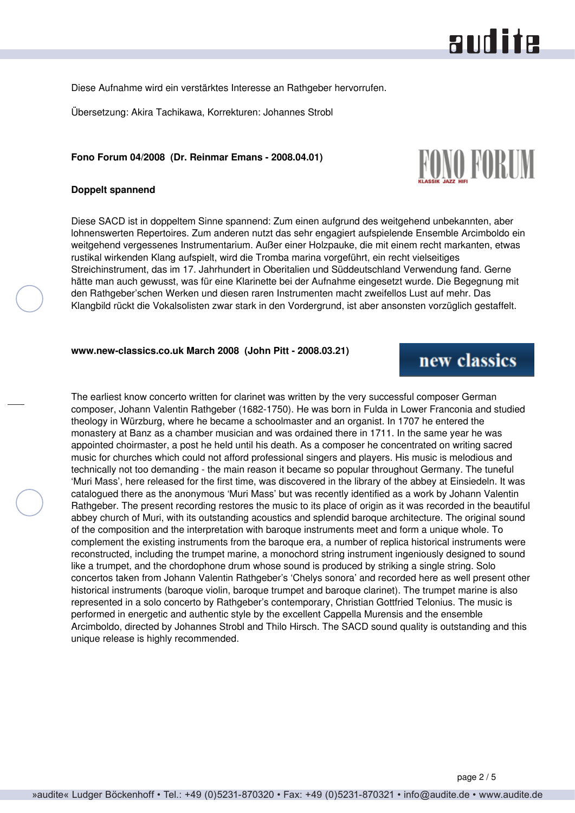Diese Aufnahme wird ein verstärktes Interesse an Rathgeber hervorrufen.

Übersetzung: Akira Tachikawa, Korrekturen: Johannes Strobl

### **Fono Forum 04/2008 (Dr. Reinmar Emans - 2008.04.01)**

### **Doppelt spannend**

Diese SACD ist in doppeltem Sinne spannend: Zum einen aufgrund des weitgehend unbekannten, aber lohnenswerten Repertoires. Zum anderen nutzt das sehr engagiert aufspielende Ensemble Arcimboldo ein weitgehend vergessenes Instrumentarium. Außer einer Holzpauke, die mit einem recht markanten, etwas rustikal wirkenden Klang aufspielt, wird die Tromba marina vorgeführt, ein recht vielseitiges Streichinstrument, das im 17. Jahrhundert in Oberitalien und Süddeutschland Verwendung fand. Gerne hätte man auch gewusst, was für eine Klarinette bei der Aufnahme eingesetzt wurde. Die Begegnung mit den Rathgeber'schen Werken und diesen raren Instrumenten macht zweifellos Lust auf mehr. Das Klangbild rückt die Vokalsolisten zwar stark in den Vordergrund, ist aber ansonsten vorzüglich gestaffelt.

**www.new-classics.co.uk March 2008 (John Pitt - 2008.03.21)**

The earliest know concerto written for clarinet was written by the very successful composer German composer, Johann Valentin Rathgeber (1682-1750). He was born in Fulda in Lower Franconia and studied theology in Würzburg, where he became a schoolmaster and an organist. In 1707 he entered the monastery at Banz as a chamber musician and was ordained there in 1711. In the same year he was appointed choirmaster, a post he held until his death. As a composer he concentrated on writing sacred music for churches which could not afford professional singers and players. His music is melodious and technically not too demanding - the main reason it became so popular throughout Germany. The tuneful 'Muri Mass', here released for the first time, was discovered in the library of the abbey at Einsiedeln. It was catalogued there as the anonymous 'Muri Mass' but was recently identified as a work by Johann Valentin Rathgeber. The present recording restores the music to its place of origin as it was recorded in the beautiful abbey church of Muri, with its outstanding acoustics and splendid baroque architecture. The original sound of the composition and the interpretation with baroque instruments meet and form a unique whole. To complement the existing instruments from the baroque era, a number of replica historical instruments were reconstructed, including the trumpet marine, a monochord string instrument ingeniously designed to sound like a trumpet, and the chordophone drum whose sound is produced by striking a single string. Solo concertos taken from Johann Valentin Rathgeber's 'Chelys sonora' and recorded here as well present other historical instruments (baroque violin, baroque trumpet and baroque clarinet). The trumpet marine is also represented in a solo concerto by Rathgeber's contemporary, Christian Gottfried Telonius. The music is performed in energetic and authentic style by the excellent Cappella Murensis and the ensemble Arcimboldo, directed by Johannes Strobl and Thilo Hirsch. The SACD sound quality is outstanding and this unique release is highly recommended.

## new classics

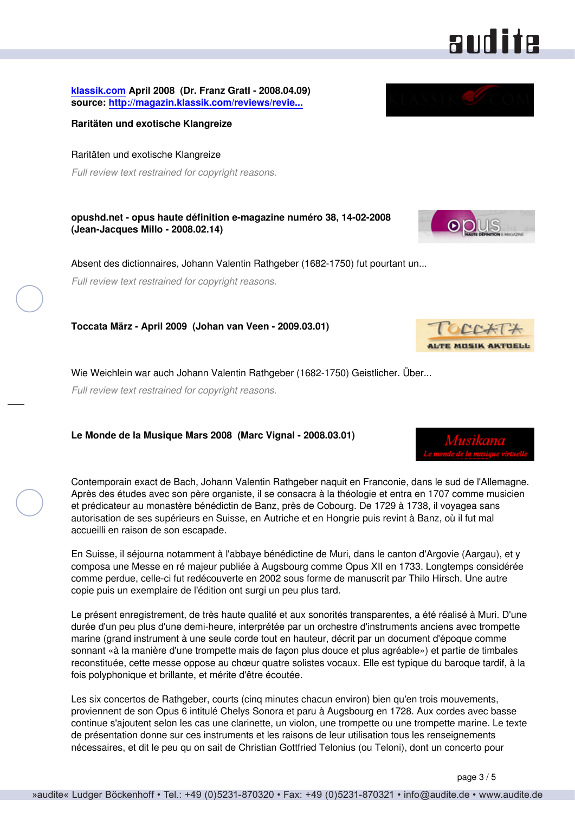**[klassik.com](http://www.klassik.com) April 2008 (Dr. Franz Gratl - 2008.04.09) source: [http://magazin.klassik.com/reviews/revie...](http://magazin.klassik.com/reviews/reviews.cfm?TASK=REVIEW&RECID=12055&REID=8067)**

**Raritäten und exotische Klangreize**

Raritäten und exotische Klangreize *Full review text restrained for copyright reasons.*

**opushd.net - opus haute définition e-magazine numéro 38, 14-02-2008 (Jean-Jacques Millo - 2008.02.14)**

Absent des dictionnaires, Johann Valentin Rathgeber (1682-1750) fut pourtant un... *Full review text restrained for copyright reasons.*

**Toccata März - April 2009 (Johan van Veen - 2009.03.01)**

Wie Weichlein war auch Johann Valentin Rathgeber (1682-1750) Geistlicher. Über...

*Full review text restrained for copyright reasons.*

**Le Monde de la Musique Mars 2008 (Marc Vignal - 2008.03.01)**

Contemporain exact de Bach, Johann Valentin Rathgeber naquit en Franconie, dans le sud de l'Allemagne. Après des études avec son père organiste, il se consacra à la théologie et entra en 1707 comme musicien et prédicateur au monastère bénédictin de Banz, près de Cobourg. De 1729 à 1738, il voyagea sans autorisation de ses supérieurs en Suisse, en Autriche et en Hongrie puis revint à Banz, où il fut mal accueilli en raison de son escapade.

En Suisse, il séjourna notamment à l'abbaye bénédictine de Muri, dans le canton d'Argovie (Aargau), et y composa une Messe en ré majeur publiée à Augsbourg comme Opus XII en 1733. Longtemps considérée comme perdue, celle-ci fut redécouverte en 2002 sous forme de manuscrit par Thilo Hirsch. Une autre copie puis un exemplaire de l'édition ont surgi un peu plus tard.

Le présent enregistrement, de très haute qualité et aux sonorités transparentes, a été réalisé à Muri. D'une durée d'un peu plus d'une demi-heure, interprétée par un orchestre d'instruments anciens avec trompette marine (grand instrument à une seule corde tout en hauteur, décrit par un document d'époque comme sonnant «à la manière d'une trompette mais de façon plus douce et plus agréable») et partie de timbales reconstituée, cette messe oppose au chœur quatre solistes vocaux. Elle est typique du baroque tardif, à la fois polyphonique et brillante, et mérite d'être écoutée.

Les six concertos de Rathgeber, courts (cinq minutes chacun environ) bien qu'en trois mouvements, proviennent de son Opus 6 intitulé Chelys Sonora et paru à Augsbourg en 1728. Aux cordes avec basse continue s'ajoutent selon les cas une clarinette, un violon, une trompette ou une trompette marine. Le texte de présentation donne sur ces instruments et les raisons de leur utilisation tous les renseignements nécessaires, et dit le peu qu on sait de Christian Gottfried Telonius (ou Teloni), dont un concerto pour









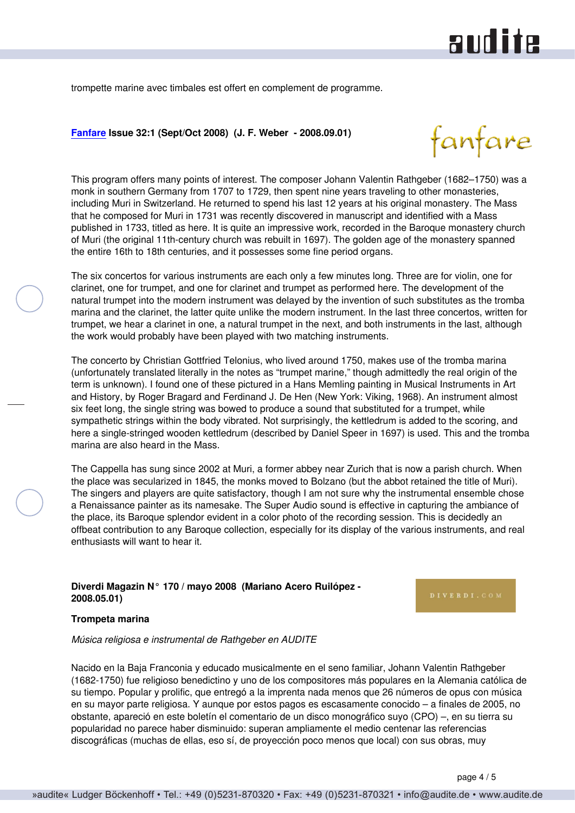# and ite

trompette marine avec timbales est offert en complement de programme.

### **[Fanfare](http://www.fanfaremag.com/) Issue 32:1 (Sept/Oct 2008) (J. F. Weber - 2008.09.01)**



This program offers many points of interest. The composer Johann Valentin Rathgeber (1682–1750) was a monk in southern Germany from 1707 to 1729, then spent nine years traveling to other monasteries, including Muri in Switzerland. He returned to spend his last 12 years at his original monastery. The Mass that he composed for Muri in 1731 was recently discovered in manuscript and identified with a Mass published in 1733, titled as here. It is quite an impressive work, recorded in the Baroque monastery church of Muri (the original 11th-century church was rebuilt in 1697). The golden age of the monastery spanned the entire 16th to 18th centuries, and it possesses some fine period organs.

The six concertos for various instruments are each only a few minutes long. Three are for violin, one for clarinet, one for trumpet, and one for clarinet and trumpet as performed here. The development of the natural trumpet into the modern instrument was delayed by the invention of such substitutes as the tromba marina and the clarinet, the latter quite unlike the modern instrument. In the last three concertos, written for trumpet, we hear a clarinet in one, a natural trumpet in the next, and both instruments in the last, although the work would probably have been played with two matching instruments.

The concerto by Christian Gottfried Telonius, who lived around 1750, makes use of the tromba marina (unfortunately translated literally in the notes as "trumpet marine," though admittedly the real origin of the term is unknown). I found one of these pictured in a Hans Memling painting in Musical Instruments in Art and History, by Roger Bragard and Ferdinand J. De Hen (New York: Viking, 1968). An instrument almost six feet long, the single string was bowed to produce a sound that substituted for a trumpet, while sympathetic strings within the body vibrated. Not surprisingly, the kettledrum is added to the scoring, and here a single-stringed wooden kettledrum (described by Daniel Speer in 1697) is used. This and the tromba marina are also heard in the Mass.

The Cappella has sung since 2002 at Muri, a former abbey near Zurich that is now a parish church. When the place was secularized in 1845, the monks moved to Bolzano (but the abbot retained the title of Muri). The singers and players are quite satisfactory, though I am not sure why the instrumental ensemble chose a Renaissance painter as its namesake. The Super Audio sound is effective in capturing the ambiance of the place, its Baroque splendor evident in a color photo of the recording session. This is decidedly an offbeat contribution to any Baroque collection, especially for its display of the various instruments, and real enthusiasts will want to hear it.

### **Diverdi Magazin N° 170 / mayo 2008 (Mariano Acero Ruilópez - 2008.05.01)**

#### **Trompeta marina**

*Música religiosa e instrumental de Rathgeber en AUDITE*

Nacido en la Baja Franconia y educado musicalmente en el seno familiar, Johann Valentin Rathgeber (1682-1750) fue religioso benedictino y uno de los compositores más populares en la Alemania católica de su tiempo. Popular y prolific, que entregó a la imprenta nada menos que 26 números de opus con música en su mayor parte religiosa. Y aunque por estos pagos es escasamente conocido – a finales de 2005, no obstante, apareció en este boletín el comentario de un disco monográfico suyo (CPO) –, en su tierra su popularidad no parece haber disminuido: superan ampliamente el medio centenar las referencias discográficas (muchas de ellas, eso sí, de proyección poco menos que local) con sus obras, muy